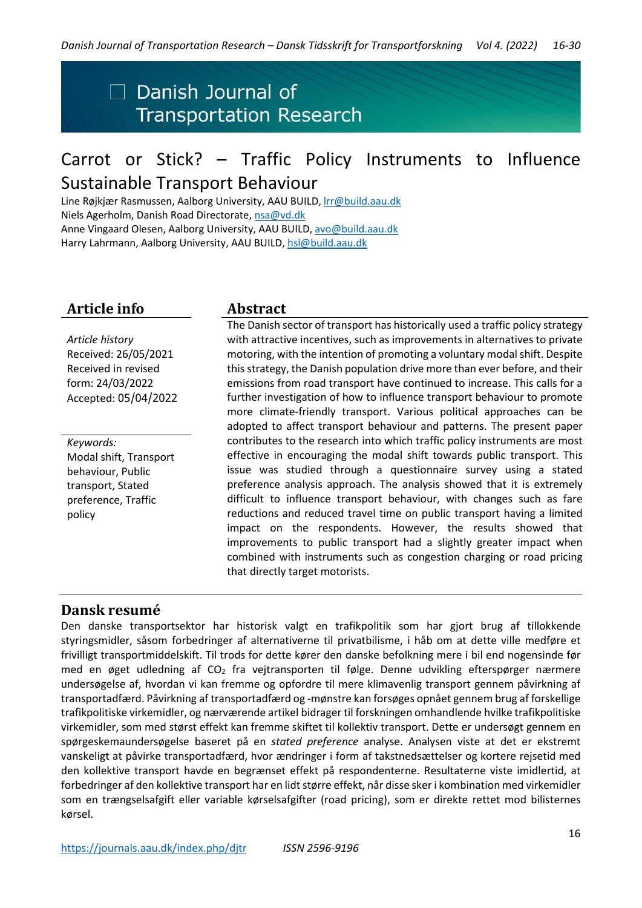# $\Box$  Danish Journal of **Transportation Research**

# Carrot or Stick? – Traffic Policy Instruments to Influence Sustainable Transport Behaviour

Line Røjkjær Rasmussen, Aalborg University, AAU BUILD, *Irr@build.aau.dk* Niels Agerholm, Danish Road Directorate, [nsa@vd.dk](mailto:nsa@vd.dk) Anne Vingaard Olesen, Aalborg University, AAU BUILD, avo@build.aau.dk Harry Lahrmann, Aalborg University, AAU BUILD[, hsl@build.aau.dk](mailto:hsl@build.aau.dk)

# **Article info Abstract**

*Article history* Received: 26/05/2021 Received in revised form: 24/03/2022 Accepted: 05/04/2022

*Keywords:* Modal shift, Transport behaviour, Public transport, Stated preference, Traffic policy

The Danish sector of transport has historically used a traffic policy strategy with attractive incentives, such as improvements in alternatives to private motoring, with the intention of promoting a voluntary modal shift. Despite this strategy, the Danish population drive more than ever before, and their emissions from road transport have continued to increase. This calls for a further investigation of how to influence transport behaviour to promote more climate-friendly transport. Various political approaches can be adopted to affect transport behaviour and patterns. The present paper contributes to the research into which traffic policy instruments are most effective in encouraging the modal shift towards public transport. This issue was studied through a questionnaire survey using a stated preference analysis approach. The analysis showed that it is extremely difficult to influence transport behaviour, with changes such as fare reductions and reduced travel time on public transport having a limited impact on the respondents. However, the results showed that improvements to public transport had a slightly greater impact when combined with instruments such as congestion charging or road pricing that directly target motorists.

# **Dansk resumé**

Den danske transportsektor har historisk valgt en trafikpolitik som har gjort brug af tillokkende styringsmidler, såsom forbedringer af alternativerne til privatbilisme, i håb om at dette ville medføre et frivilligt transportmiddelskift. Til trods for dette kører den danske befolkning mere i bil end nogensinde før med en øget udledning af CO<sub>2</sub> fra vejtransporten til følge. Denne udvikling efterspørger nærmere undersøgelse af, hvordan vi kan fremme og opfordre til mere klimavenlig transport gennem påvirkning af transportadfærd. Påvirkning af transportadfærd og -mønstre kan forsøges opnået gennem brug af forskellige trafikpolitiske virkemidler, og nærværende artikel bidrager til forskningen omhandlende hvilke trafikpolitiske virkemidler, som med størst effekt kan fremme skiftet til kollektiv transport. Dette er undersøgt gennem en spørgeskemaundersøgelse baseret på en *stated preference* analyse. Analysen viste at det er ekstremt vanskeligt at påvirke transportadfærd, hvor ændringer i form af takstnedsættelser og kortere rejsetid med den kollektive transport havde en begrænset effekt på respondenterne. Resultaterne viste imidlertid, at forbedringer af den kollektive transport har en lidt større effekt, når disse sker i kombination med virkemidler som en trængselsafgift eller variable kørselsafgifter (road pricing), som er direkte rettet mod bilisternes kørsel.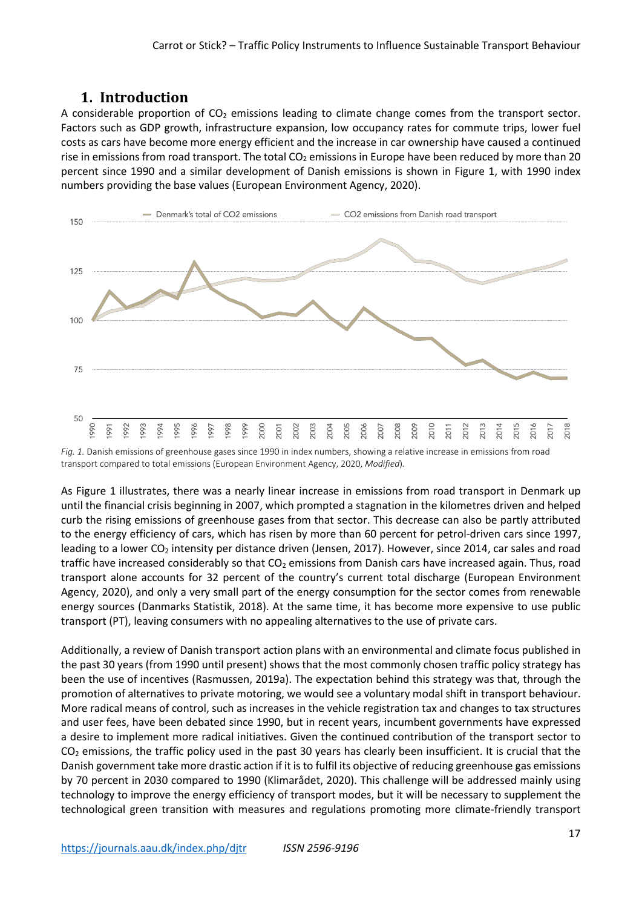# **1. Introduction**

A considerable proportion of  $CO<sub>2</sub>$  emissions leading to climate change comes from the transport sector. Factors such as GDP growth, infrastructure expansion, low occupancy rates for commute trips, lower fuel costs as cars have become more energy efficient and the increase in car ownership have caused a continued rise in emissions from road transport. The total  $CO<sub>2</sub>$  emissions in Europe have been reduced by more than 20 percent since 1990 and a similar development of Danish emissions is shown in Figure 1, with 1990 index numbers providing the base values (European Environment Agency, 2020).



*Fig. 1.* Danish emissions of greenhouse gases since 1990 in index numbers, showing a relative increase in emissions from road transport compared to total emissions (European Environment Agency, 2020, *Modified*)*.*

As Figure 1 illustrates, there was a nearly linear increase in emissions from road transport in Denmark up until the financial crisis beginning in 2007, which prompted a stagnation in the kilometres driven and helped curb the rising emissions of greenhouse gases from that sector. This decrease can also be partly attributed to the energy efficiency of cars, which has risen by more than 60 percent for petrol-driven cars since 1997, leading to a lower CO<sub>2</sub> intensity per distance driven (Jensen, 2017). However, since 2014, car sales and road traffic have increased considerably so that CO<sub>2</sub> emissions from Danish cars have increased again. Thus, road transport alone accounts for 32 percent of the country's current total discharge (European Environment Agency, 2020), and only a very small part of the energy consumption for the sector comes from renewable energy sources (Danmarks Statistik, 2018). At the same time, it has become more expensive to use public transport (PT), leaving consumers with no appealing alternatives to the use of private cars.

Additionally, a review of Danish transport action plans with an environmental and climate focus published in the past 30 years (from 1990 until present) shows that the most commonly chosen traffic policy strategy has been the use of incentives (Rasmussen, 2019a). The expectation behind this strategy was that, through the promotion of alternatives to private motoring, we would see a voluntary modal shift in transport behaviour. More radical means of control, such as increases in the vehicle registration tax and changes to tax structures and user fees, have been debated since 1990, but in recent years, incumbent governments have expressed a desire to implement more radical initiatives. Given the continued contribution of the transport sector to  $CO<sub>2</sub>$  emissions, the traffic policy used in the past 30 years has clearly been insufficient. It is crucial that the Danish government take more drastic action if it is to fulfil its objective of reducing greenhouse gas emissions by 70 percent in 2030 compared to 1990 (Klimarådet, 2020). This challenge will be addressed mainly using technology to improve the energy efficiency of transport modes, but it will be necessary to supplement the technological green transition with measures and regulations promoting more climate-friendly transport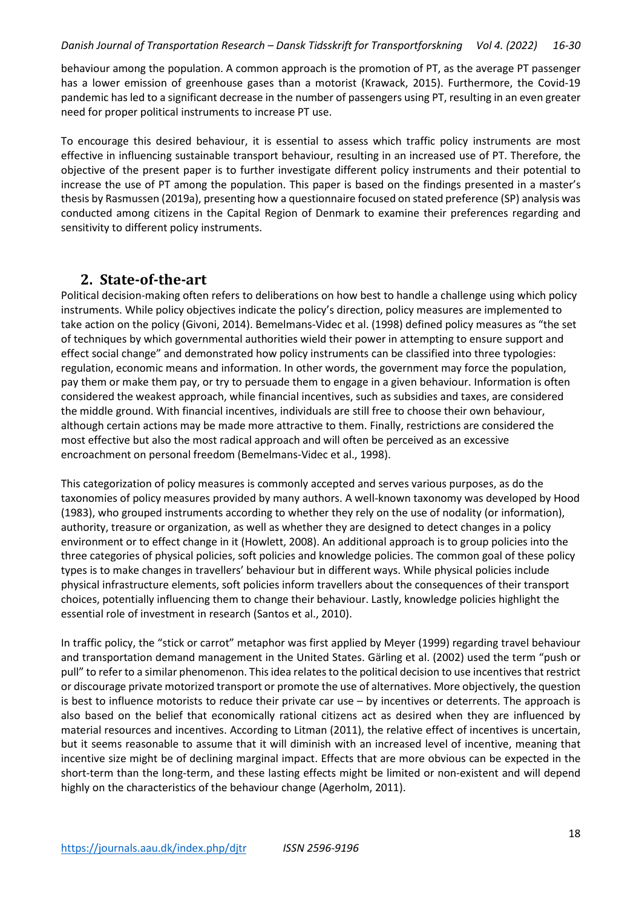#### *Danish Journal of Transportation Research – Dansk Tidsskrift for Transportforskning Vol 4. (2022) 16-30*

behaviour among the population. A common approach is the promotion of PT, as the average PT passenger has a lower emission of greenhouse gases than a motorist (Krawack, 2015). Furthermore, the Covid-19 pandemic has led to a significant decrease in the number of passengers using PT, resulting in an even greater need for proper political instruments to increase PT use.

To encourage this desired behaviour, it is essential to assess which traffic policy instruments are most effective in influencing sustainable transport behaviour, resulting in an increased use of PT. Therefore, the objective of the present paper is to further investigate different policy instruments and their potential to increase the use of PT among the population. This paper is based on the findings presented in a master's thesis by Rasmussen (2019a), presenting how a questionnaire focused on stated preference (SP) analysis was conducted among citizens in the Capital Region of Denmark to examine their preferences regarding and sensitivity to different policy instruments.

# **2. State-of-the-art**

Political decision-making often refers to deliberations on how best to handle a challenge using which policy instruments. While policy objectives indicate the policy's direction, policy measures are implemented to take action on the policy (Givoni, 2014). Bemelmans-Videc et al. (1998) defined policy measures as "the set of techniques by which governmental authorities wield their power in attempting to ensure support and effect social change" and demonstrated how policy instruments can be classified into three typologies: regulation, economic means and information. In other words, the government may force the population, pay them or make them pay, or try to persuade them to engage in a given behaviour. Information is often considered the weakest approach, while financial incentives, such as subsidies and taxes, are considered the middle ground. With financial incentives, individuals are still free to choose their own behaviour, although certain actions may be made more attractive to them. Finally, restrictions are considered the most effective but also the most radical approach and will often be perceived as an excessive encroachment on personal freedom (Bemelmans-Videc et al., 1998).

This categorization of policy measures is commonly accepted and serves various purposes, as do the taxonomies of policy measures provided by many authors. A well-known taxonomy was developed by Hood (1983), who grouped instruments according to whether they rely on the use of nodality (or information), authority, treasure or organization, as well as whether they are designed to detect changes in a policy environment or to effect change in it (Howlett, 2008). An additional approach is to group policies into the three categories of physical policies, soft policies and knowledge policies. The common goal of these policy types is to make changes in travellers' behaviour but in different ways. While physical policies include physical infrastructure elements, soft policies inform travellers about the consequences of their transport choices, potentially influencing them to change their behaviour. Lastly, knowledge policies highlight the essential role of investment in research (Santos et al., 2010).

In traffic policy, the "stick or carrot" metaphor was first applied by Meyer (1999) regarding travel behaviour and transportation demand management in the United States. Gärling et al. (2002) used the term "push or pull" to refer to a similar phenomenon. This idea relates to the political decision to use incentives that restrict or discourage private motorized transport or promote the use of alternatives. More objectively, the question is best to influence motorists to reduce their private car use – by incentives or deterrents. The approach is also based on the belief that economically rational citizens act as desired when they are influenced by material resources and incentives. According to Litman (2011), the relative effect of incentives is uncertain, but it seems reasonable to assume that it will diminish with an increased level of incentive, meaning that incentive size might be of declining marginal impact. Effects that are more obvious can be expected in the short-term than the long-term, and these lasting effects might be limited or non-existent and will depend highly on the characteristics of the behaviour change (Agerholm, 2011).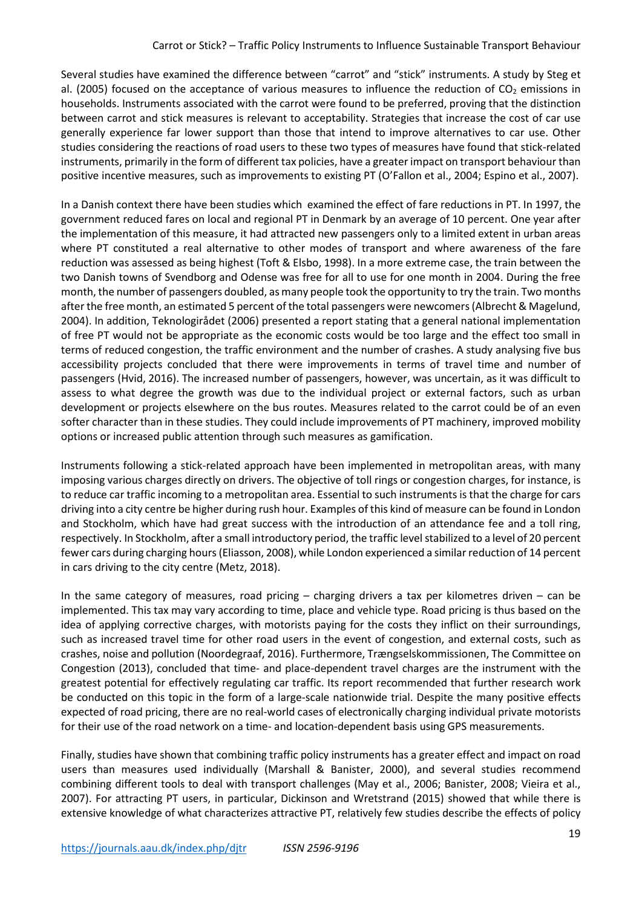Several studies have examined the difference between "carrot" and "stick" instruments. A study by Steg et al. (2005) focused on the acceptance of various measures to influence the reduction of  $CO<sub>2</sub>$  emissions in households. Instruments associated with the carrot were found to be preferred, proving that the distinction between carrot and stick measures is relevant to acceptability. Strategies that increase the cost of car use generally experience far lower support than those that intend to improve alternatives to car use. Other studies considering the reactions of road users to these two types of measures have found that stick-related instruments, primarily in the form of different tax policies, have a greater impact on transport behaviour than positive incentive measures, such as improvements to existing PT (O'Fallon et al., 2004; Espino et al., 2007).

In a Danish context there have been studies which examined the effect of fare reductions in PT. In 1997, the government reduced fares on local and regional PT in Denmark by an average of 10 percent. One year after the implementation of this measure, it had attracted new passengers only to a limited extent in urban areas where PT constituted a real alternative to other modes of transport and where awareness of the fare reduction was assessed as being highest (Toft & Elsbo, 1998). In a more extreme case, the train between the two Danish towns of Svendborg and Odense was free for all to use for one month in 2004. During the free month, the number of passengers doubled, as many people took the opportunity to try the train. Two months after the free month, an estimated 5 percent of the total passengers were newcomers (Albrecht & Magelund, 2004). In addition, Teknologirådet (2006) presented a report stating that a general national implementation of free PT would not be appropriate as the economic costs would be too large and the effect too small in terms of reduced congestion, the traffic environment and the number of crashes. A study analysing five bus accessibility projects concluded that there were improvements in terms of travel time and number of passengers (Hvid, 2016). The increased number of passengers, however, was uncertain, as it was difficult to assess to what degree the growth was due to the individual project or external factors, such as urban development or projects elsewhere on the bus routes. Measures related to the carrot could be of an even softer character than in these studies. They could include improvements of PT machinery, improved mobility options or increased public attention through such measures as gamification.

Instruments following a stick-related approach have been implemented in metropolitan areas, with many imposing various charges directly on drivers. The objective of toll rings or congestion charges, for instance, is to reduce car traffic incoming to a metropolitan area. Essential to such instruments is that the charge for cars driving into a city centre be higher during rush hour. Examples of this kind of measure can be found in London and Stockholm, which have had great success with the introduction of an attendance fee and a toll ring, respectively. In Stockholm, after a small introductory period, the traffic level stabilized to a level of 20 percent fewer cars during charging hours (Eliasson, 2008), while London experienced a similar reduction of 14 percent in cars driving to the city centre (Metz, 2018).

In the same category of measures, road pricing  $-$  charging drivers a tax per kilometres driven  $-$  can be implemented. This tax may vary according to time, place and vehicle type. Road pricing is thus based on the idea of applying corrective charges, with motorists paying for the costs they inflict on their surroundings, such as increased travel time for other road users in the event of congestion, and external costs, such as crashes, noise and pollution (Noordegraaf, 2016). Furthermore, Trængselskommissionen, The Committee on Congestion (2013), concluded that time- and place-dependent travel charges are the instrument with the greatest potential for effectively regulating car traffic. Its report recommended that further research work be conducted on this topic in the form of a large-scale nationwide trial. Despite the many positive effects expected of road pricing, there are no real-world cases of electronically charging individual private motorists for their use of the road network on a time- and location-dependent basis using GPS measurements.

Finally, studies have shown that combining traffic policy instruments has a greater effect and impact on road users than measures used individually (Marshall & Banister, 2000), and several studies recommend combining different tools to deal with transport challenges (May et al., 2006; Banister, 2008; Vieira et al., 2007). For attracting PT users, in particular, Dickinson and Wretstrand (2015) showed that while there is extensive knowledge of what characterizes attractive PT, relatively few studies describe the effects of policy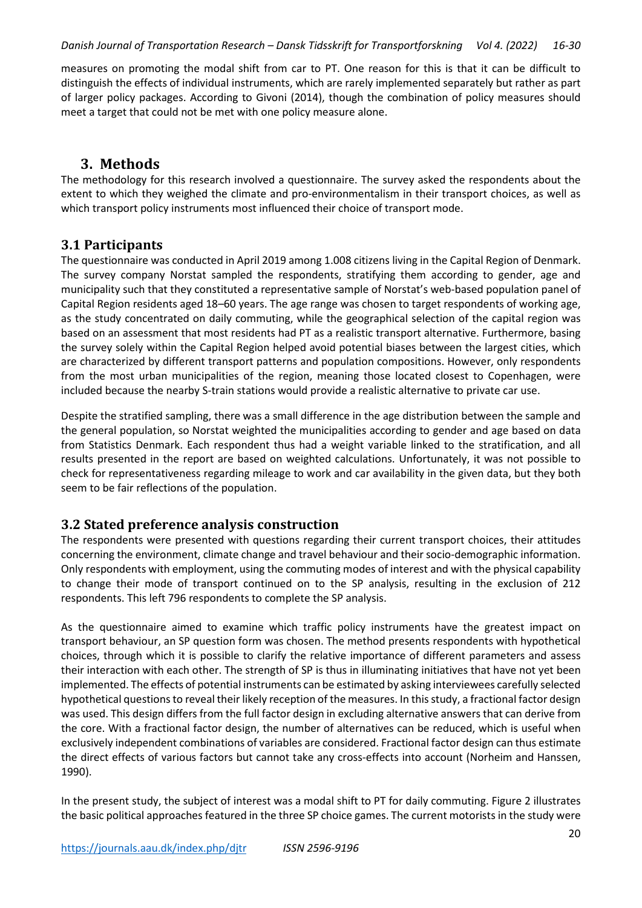#### *Danish Journal of Transportation Research – Dansk Tidsskrift for Transportforskning Vol 4. (2022) 16-30*

measures on promoting the modal shift from car to PT. One reason for this is that it can be difficult to distinguish the effects of individual instruments, which are rarely implemented separately but rather as part of larger policy packages. According to Givoni (2014), though the combination of policy measures should meet a target that could not be met with one policy measure alone.

# **3. Methods**

The methodology for this research involved a questionnaire. The survey asked the respondents about the extent to which they weighed the climate and pro-environmentalism in their transport choices, as well as which transport policy instruments most influenced their choice of transport mode.

#### **3.1 Participants**

The questionnaire was conducted in April 2019 among 1.008 citizens living in the Capital Region of Denmark. The survey company Norstat sampled the respondents, stratifying them according to gender, age and municipality such that they constituted a representative sample of Norstat's web-based population panel of Capital Region residents aged 18–60 years. The age range was chosen to target respondents of working age, as the study concentrated on daily commuting, while the geographical selection of the capital region was based on an assessment that most residents had PT as a realistic transport alternative. Furthermore, basing the survey solely within the Capital Region helped avoid potential biases between the largest cities, which are characterized by different transport patterns and population compositions. However, only respondents from the most urban municipalities of the region, meaning those located closest to Copenhagen, were included because the nearby S-train stations would provide a realistic alternative to private car use.

Despite the stratified sampling, there was a small difference in the age distribution between the sample and the general population, so Norstat weighted the municipalities according to gender and age based on data from Statistics Denmark. Each respondent thus had a weight variable linked to the stratification, and all results presented in the report are based on weighted calculations. Unfortunately, it was not possible to check for representativeness regarding mileage to work and car availability in the given data, but they both seem to be fair reflections of the population.

### **3.2 Stated preference analysis construction**

The respondents were presented with questions regarding their current transport choices, their attitudes concerning the environment, climate change and travel behaviour and their socio-demographic information. Only respondents with employment, using the commuting modes of interest and with the physical capability to change their mode of transport continued on to the SP analysis, resulting in the exclusion of 212 respondents. This left 796 respondents to complete the SP analysis.

As the questionnaire aimed to examine which traffic policy instruments have the greatest impact on transport behaviour, an SP question form was chosen. The method presents respondents with hypothetical choices, through which it is possible to clarify the relative importance of different parameters and assess their interaction with each other. The strength of SP is thus in illuminating initiatives that have not yet been implemented. The effects of potential instruments can be estimated by asking interviewees carefully selected hypothetical questions to reveal their likely reception of the measures. In this study, a fractional factor design was used. This design differs from the full factor design in excluding alternative answers that can derive from the core. With a fractional factor design, the number of alternatives can be reduced, which is useful when exclusively independent combinations of variables are considered. Fractional factor design can thus estimate the direct effects of various factors but cannot take any cross-effects into account (Norheim and Hanssen, 1990).

In the present study, the subject of interest was a modal shift to PT for daily commuting. Figure 2 illustrates the basic political approaches featured in the three SP choice games. The current motorists in the study were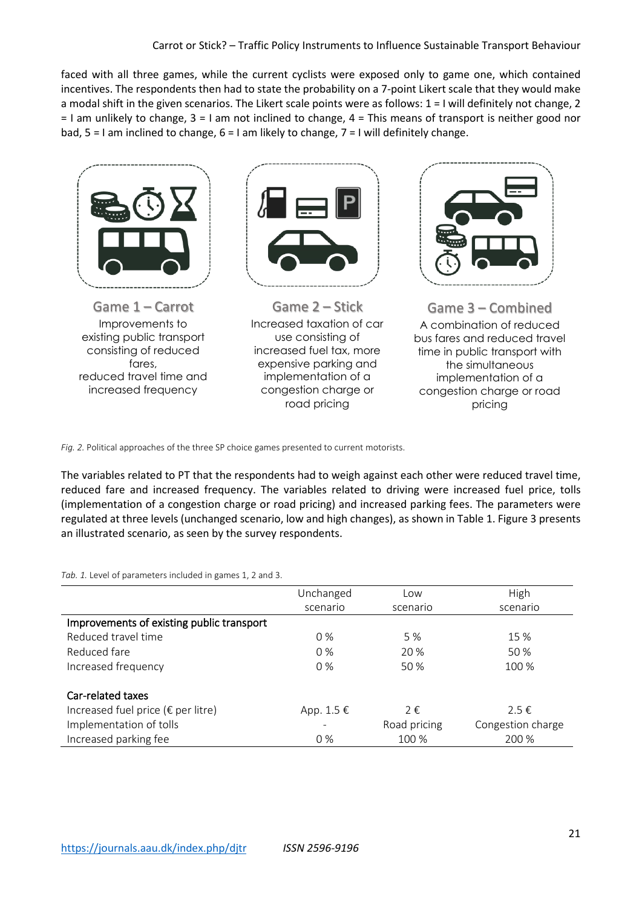faced with all three games, while the current cyclists were exposed only to game one, which contained incentives. The respondents then had to state the probability on a 7-point Likert scale that they would make a modal shift in the given scenarios. The Likert scale points were as follows: 1 = I will definitely not change, 2 = I am unlikely to change, 3 = I am not inclined to change, 4 = This means of transport is neither good nor bad,  $5 = 1$  am inclined to change,  $6 = 1$  am likely to change,  $7 = 1$  will definitely change.



*Fig. 2.* Political approaches of the three SP choice games presented to current motorists.

The variables related to PT that the respondents had to weigh against each other were reduced travel time, reduced fare and increased frequency. The variables related to driving were increased fuel price, tolls (implementation of a congestion charge or road pricing) and increased parking fees. The parameters were regulated at three levels (unchanged scenario, low and high changes), as shown in Table 1. Figure 3 presents an illustrated scenario, as seen by the survey respondents.

*Tab. 1.* Level of parameters included in games 1, 2 and 3.

|                                              | Unchanged    | Low          | High              |  |
|----------------------------------------------|--------------|--------------|-------------------|--|
|                                              | scenario     | scenario     | scenario          |  |
| Improvements of existing public transport    |              |              |                   |  |
| Reduced travel time                          | $0\%$        | 5 %          | 15 %              |  |
| Reduced fare                                 | $0\%$        | 20 %         | 50 %              |  |
| Increased frequency                          | $0\%$        | 50 %         | 100 %             |  |
| Car-related taxes                            |              |              |                   |  |
| Increased fuel price ( $\epsilon$ per litre) | App. 1.5 $€$ | 2€           | $2.5 \in$         |  |
| Implementation of tolls                      |              | Road pricing | Congestion charge |  |
| Increased parking fee                        | $0\%$        | 100 %        | 200 %             |  |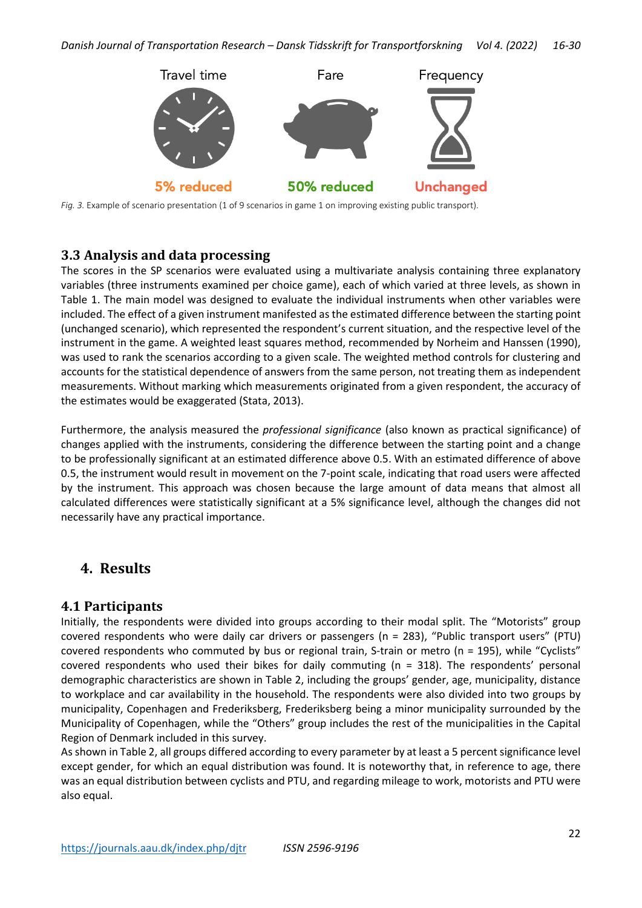

*Fig. 3.* Example of scenario presentation (1 of 9 scenarios in game 1 on improving existing public transport).

#### **3.3 Analysis and data processing**

The scores in the SP scenarios were evaluated using a multivariate analysis containing three explanatory variables (three instruments examined per choice game), each of which varied at three levels, as shown in Table 1. The main model was designed to evaluate the individual instruments when other variables were included. The effect of a given instrument manifested as the estimated difference between the starting point (unchanged scenario), which represented the respondent's current situation, and the respective level of the instrument in the game. A weighted least squares method, recommended by Norheim and Hanssen (1990), was used to rank the scenarios according to a given scale. The weighted method controls for clustering and accounts for the statistical dependence of answers from the same person, not treating them as independent measurements. Without marking which measurements originated from a given respondent, the accuracy of the estimates would be exaggerated (Stata, 2013).

Furthermore, the analysis measured the *professional significance* (also known as practical significance) of changes applied with the instruments, considering the difference between the starting point and a change to be professionally significant at an estimated difference above 0.5. With an estimated difference of above 0.5, the instrument would result in movement on the 7-point scale, indicating that road users were affected by the instrument. This approach was chosen because the large amount of data means that almost all calculated differences were statistically significant at a 5% significance level, although the changes did not necessarily have any practical importance.

# **4. Results**

#### **4.1 Participants**

Initially, the respondents were divided into groups according to their modal split. The "Motorists" group covered respondents who were daily car drivers or passengers (n = 283), "Public transport users" (PTU) covered respondents who commuted by bus or regional train, S-train or metro (n = 195), while "Cyclists" covered respondents who used their bikes for daily commuting (n = 318). The respondents' personal demographic characteristics are shown in Table 2, including the groups' gender, age, municipality, distance to workplace and car availability in the household. The respondents were also divided into two groups by municipality, Copenhagen and Frederiksberg, Frederiksberg being a minor municipality surrounded by the Municipality of Copenhagen, while the "Others" group includes the rest of the municipalities in the Capital Region of Denmark included in this survey.

As shown in Table 2, all groups differed according to every parameter by at least a 5 percent significance level except gender, for which an equal distribution was found. It is noteworthy that, in reference to age, there was an equal distribution between cyclists and PTU, and regarding mileage to work, motorists and PTU were also equal.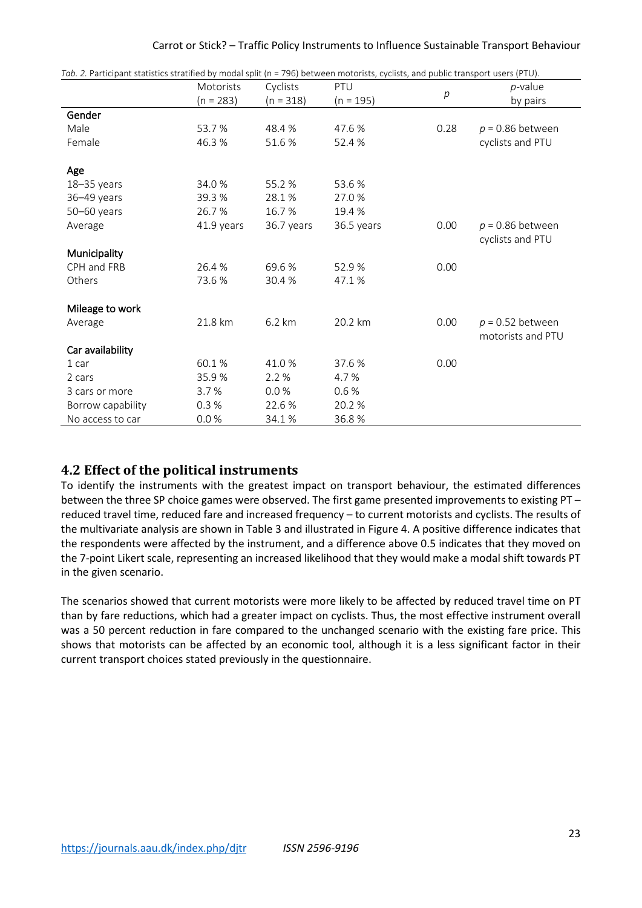|  | Carrot or Stick? - Traffic Policy Instruments to Influence Sustainable Transport Behaviour |  |
|--|--------------------------------------------------------------------------------------------|--|
|--|--------------------------------------------------------------------------------------------|--|

| Tab. 2. Participant statistics stratified by modal split (n = 796) between motorists, cyclists, and public transport users (PTU). |             |             |             |      |                                         |  |
|-----------------------------------------------------------------------------------------------------------------------------------|-------------|-------------|-------------|------|-----------------------------------------|--|
|                                                                                                                                   | Motorists   | Cyclists    | PTU         |      | <i>p</i> -value                         |  |
|                                                                                                                                   | $(n = 283)$ | $(n = 318)$ | $(n = 195)$ | p    | by pairs                                |  |
| Gender                                                                                                                            |             |             |             |      |                                         |  |
| Male                                                                                                                              | 53.7 %      | 48.4 %      | 47.6 %      | 0.28 | $p = 0.86$ between                      |  |
| Female                                                                                                                            | 46.3%       | 51.6 %      | 52.4 %      |      | cyclists and PTU                        |  |
| Age                                                                                                                               |             |             |             |      |                                         |  |
| $18 - 35$ years                                                                                                                   | 34.0 %      | 55.2%       | 53.6 %      |      |                                         |  |
| 36-49 years                                                                                                                       | 39.3 %      | 28.1%       | 27.0 %      |      |                                         |  |
| $50 - 60$ years                                                                                                                   | 26.7%       | 16.7%       | 19.4 %      |      |                                         |  |
| Average                                                                                                                           | 41.9 years  | 36.7 years  | 36.5 years  | 0.00 | $p = 0.86$ between<br>cyclists and PTU  |  |
| Municipality                                                                                                                      |             |             |             |      |                                         |  |
| CPH and FRB                                                                                                                       | 26.4 %      | 69.6 %      | 52.9%       | 0.00 |                                         |  |
| Others                                                                                                                            | 73.6%       | 30.4%       | 47.1%       |      |                                         |  |
| Mileage to work                                                                                                                   |             |             |             |      |                                         |  |
| Average                                                                                                                           | 21.8 km     | 6.2 km      | 20.2 km     | 0.00 | $p = 0.52$ between<br>motorists and PTU |  |
| Car availability                                                                                                                  |             |             |             |      |                                         |  |
| 1 car                                                                                                                             | 60.1%       | 41.0%       | 37.6 %      | 0.00 |                                         |  |
| 2 cars                                                                                                                            | 35.9%       | 2.2%        | 4.7 %       |      |                                         |  |
| 3 cars or more                                                                                                                    | 3.7%        | 0.0%        | 0.6%        |      |                                         |  |
| Borrow capability                                                                                                                 | 0.3%        | 22.6%       | 20.2 %      |      |                                         |  |
| No access to car                                                                                                                  | 0.0%        | 34.1%       | 36.8%       |      |                                         |  |

### **4.2 Effect of the political instruments**

To identify the instruments with the greatest impact on transport behaviour, the estimated differences between the three SP choice games were observed. The first game presented improvements to existing PT – reduced travel time, reduced fare and increased frequency – to current motorists and cyclists. The results of the multivariate analysis are shown in Table 3 and illustrated in Figure 4. A positive difference indicates that the respondents were affected by the instrument, and a difference above 0.5 indicates that they moved on the 7-point Likert scale, representing an increased likelihood that they would make a modal shift towards PT in the given scenario.

The scenarios showed that current motorists were more likely to be affected by reduced travel time on PT than by fare reductions, which had a greater impact on cyclists. Thus, the most effective instrument overall was a 50 percent reduction in fare compared to the unchanged scenario with the existing fare price. This shows that motorists can be affected by an economic tool, although it is a less significant factor in their current transport choices stated previously in the questionnaire.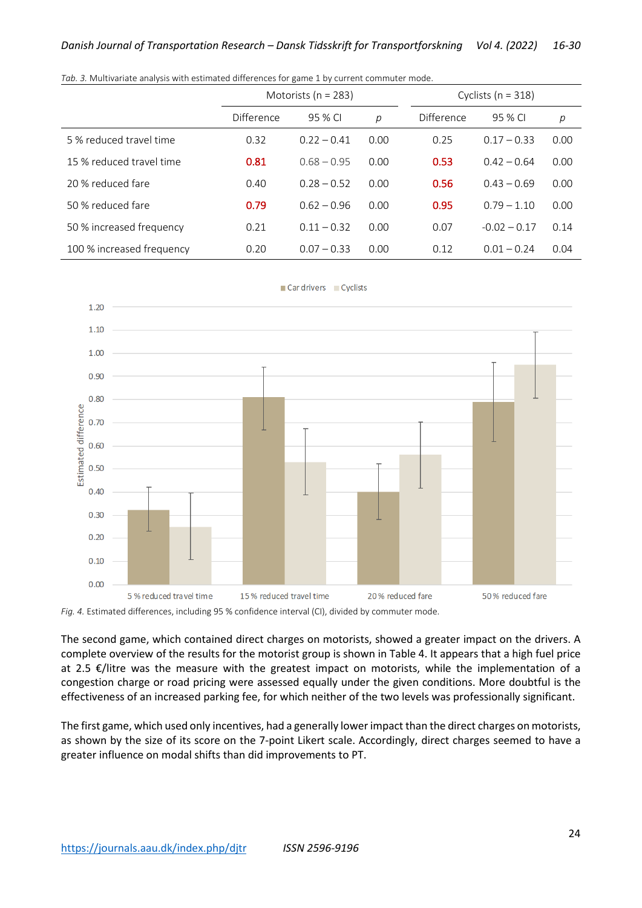|                           | Motorists ( $n = 283$ ) |               |      | Cyclists ( $n = 318$ ) |                |      |  |
|---------------------------|-------------------------|---------------|------|------------------------|----------------|------|--|
|                           | Difference              | 95 % CI       | р    | Difference             | 95 % CI        | р    |  |
| 5 % reduced travel time   | 0.32                    | $0.22 - 0.41$ | 0.00 | 0.25                   | $0.17 - 0.33$  | 0.00 |  |
| 15 % reduced travel time  | 0.81                    | $0.68 - 0.95$ | 0.00 | 0.53                   | $0.42 - 0.64$  | 0.00 |  |
| 20 % reduced fare         | 0.40                    | $0.28 - 0.52$ | 0.00 | 0.56                   | $0.43 - 0.69$  | 0.00 |  |
| 50 % reduced fare         | 0.79                    | $0.62 - 0.96$ | 0.00 | 0.95                   | $0.79 - 1.10$  | 0.00 |  |
| 50 % increased frequency  | 0.21                    | $0.11 - 0.32$ | 0.00 | 0.07                   | $-0.02 - 0.17$ | 0.14 |  |
| 100 % increased frequency | 0.20                    | $0.07 - 0.33$ | 0.00 | 0.12                   | $0.01 - 0.24$  | 0.04 |  |

*Tab. 3.* Multivariate analysis with estimated differences for game 1 by current commuter mode.



*Fig. 4.* Estimated differences, including 95 % confidence interval (CI), divided by commuter mode.

The second game, which contained direct charges on motorists, showed a greater impact on the drivers. A complete overview of the results for the motorist group is shown in Table 4. It appears that a high fuel price at 2.5 €/litre was the measure with the greatest impact on motorists, while the implementation of a congestion charge or road pricing were assessed equally under the given conditions. More doubtful is the effectiveness of an increased parking fee, for which neither of the two levels was professionally significant.

The first game, which used only incentives, had a generally lower impact than the direct charges on motorists, as shown by the size of its score on the 7-point Likert scale. Accordingly, direct charges seemed to have a greater influence on modal shifts than did improvements to PT.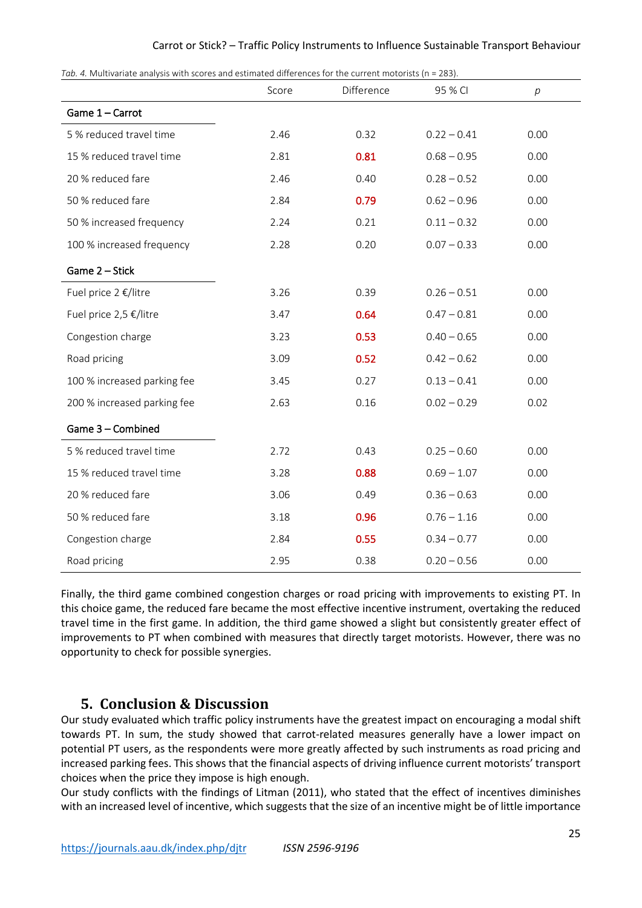#### Carrot or Stick? – Traffic Policy Instruments to Influence Sustainable Transport Behaviour

*Tab. 4.* Multivariate analysis with scores and estimated differences for the current motorists (n = 283).

| 7ab. 4. Mailivariate analysis with scores and estimated unierences for the current motorists (n = 2007. | Score | Difference | 95 % CI       | $\,p\,$ |
|---------------------------------------------------------------------------------------------------------|-------|------------|---------------|---------|
| Game 1 - Carrot                                                                                         |       |            |               |         |
| 5 % reduced travel time                                                                                 | 2.46  | 0.32       | $0.22 - 0.41$ | 0.00    |
| 15 % reduced travel time                                                                                | 2.81  | 0.81       | $0.68 - 0.95$ | 0.00    |
| 20 % reduced fare                                                                                       | 2.46  | 0.40       | $0.28 - 0.52$ | 0.00    |
| 50 % reduced fare                                                                                       | 2.84  | 0.79       | $0.62 - 0.96$ | 0.00    |
| 50 % increased frequency                                                                                | 2.24  | 0.21       | $0.11 - 0.32$ | 0.00    |
| 100 % increased frequency                                                                               | 2.28  | 0.20       | $0.07 - 0.33$ | 0.00    |
| Game 2 - Stick                                                                                          |       |            |               |         |
| Fuel price 2 €/litre                                                                                    | 3.26  | 0.39       | $0.26 - 0.51$ | 0.00    |
| Fuel price 2,5 €/litre                                                                                  | 3.47  | 0.64       | $0.47 - 0.81$ | 0.00    |
| Congestion charge                                                                                       | 3.23  | 0.53       | $0.40 - 0.65$ | 0.00    |
| Road pricing                                                                                            | 3.09  | 0.52       | $0.42 - 0.62$ | 0.00    |
| 100 % increased parking fee                                                                             | 3.45  | 0.27       | $0.13 - 0.41$ | 0.00    |
| 200 % increased parking fee                                                                             | 2.63  | 0.16       | $0.02 - 0.29$ | 0.02    |
| Game 3 - Combined                                                                                       |       |            |               |         |
| 5 % reduced travel time                                                                                 | 2.72  | 0.43       | $0.25 - 0.60$ | 0.00    |
| 15 % reduced travel time                                                                                | 3.28  | 0.88       | $0.69 - 1.07$ | 0.00    |
| 20 % reduced fare                                                                                       | 3.06  | 0.49       | $0.36 - 0.63$ | 0.00    |
| 50 % reduced fare                                                                                       | 3.18  | 0.96       | $0.76 - 1.16$ | 0.00    |
| Congestion charge                                                                                       | 2.84  | 0.55       | $0.34 - 0.77$ | 0.00    |
| Road pricing                                                                                            | 2.95  | 0.38       | $0.20 - 0.56$ | 0.00    |

Finally, the third game combined congestion charges or road pricing with improvements to existing PT. In this choice game, the reduced fare became the most effective incentive instrument, overtaking the reduced travel time in the first game. In addition, the third game showed a slight but consistently greater effect of improvements to PT when combined with measures that directly target motorists. However, there was no opportunity to check for possible synergies.

#### **5. Conclusion & Discussion**

Our study evaluated which traffic policy instruments have the greatest impact on encouraging a modal shift towards PT. In sum, the study showed that carrot-related measures generally have a lower impact on potential PT users, as the respondents were more greatly affected by such instruments as road pricing and increased parking fees. This shows that the financial aspects of driving influence current motorists' transport choices when the price they impose is high enough.

Our study conflicts with the findings of Litman (2011), who stated that the effect of incentives diminishes with an increased level of incentive, which suggests that the size of an incentive might be of little importance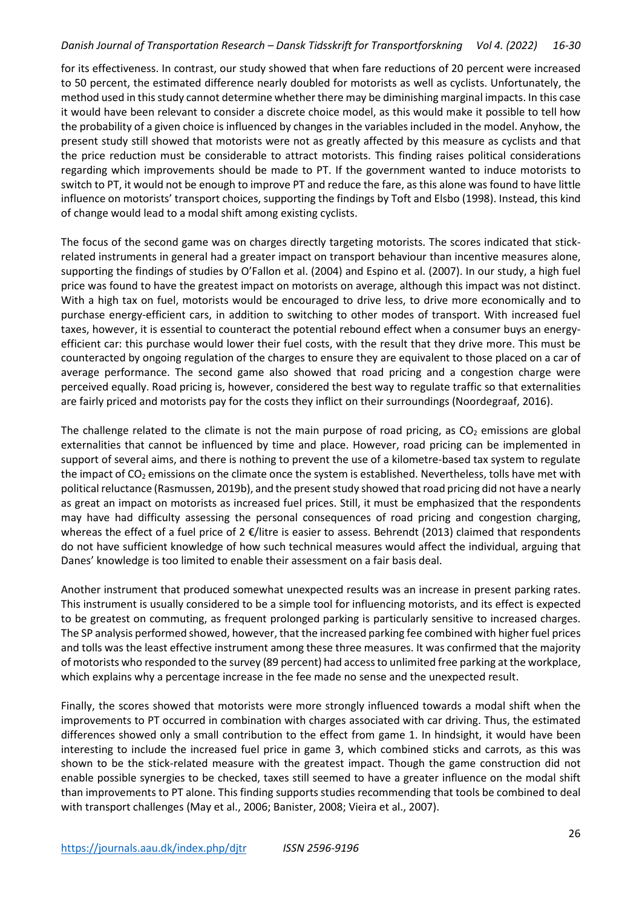#### *Danish Journal of Transportation Research – Dansk Tidsskrift for Transportforskning Vol 4. (2022) 16-30*

for its effectiveness. In contrast, our study showed that when fare reductions of 20 percent were increased to 50 percent, the estimated difference nearly doubled for motorists as well as cyclists. Unfortunately, the method used in this study cannot determine whether there may be diminishing marginal impacts. In this case it would have been relevant to consider a discrete choice model, as this would make it possible to tell how the probability of a given choice is influenced by changes in the variables included in the model. Anyhow, the present study still showed that motorists were not as greatly affected by this measure as cyclists and that the price reduction must be considerable to attract motorists. This finding raises political considerations regarding which improvements should be made to PT. If the government wanted to induce motorists to switch to PT, it would not be enough to improve PT and reduce the fare, as this alone was found to have little influence on motorists' transport choices, supporting the findings by Toft and Elsbo (1998). Instead, this kind of change would lead to a modal shift among existing cyclists.

The focus of the second game was on charges directly targeting motorists. The scores indicated that stickrelated instruments in general had a greater impact on transport behaviour than incentive measures alone, supporting the findings of studies by O'Fallon et al. (2004) and Espino et al. (2007). In our study, a high fuel price was found to have the greatest impact on motorists on average, although this impact was not distinct. With a high tax on fuel, motorists would be encouraged to drive less, to drive more economically and to purchase energy-efficient cars, in addition to switching to other modes of transport. With increased fuel taxes, however, it is essential to counteract the potential rebound effect when a consumer buys an energyefficient car: this purchase would lower their fuel costs, with the result that they drive more. This must be counteracted by ongoing regulation of the charges to ensure they are equivalent to those placed on a car of average performance. The second game also showed that road pricing and a congestion charge were perceived equally. Road pricing is, however, considered the best way to regulate traffic so that externalities are fairly priced and motorists pay for the costs they inflict on their surroundings (Noordegraaf, 2016).

The challenge related to the climate is not the main purpose of road pricing, as  $CO<sub>2</sub>$  emissions are global externalities that cannot be influenced by time and place. However, road pricing can be implemented in support of several aims, and there is nothing to prevent the use of a kilometre-based tax system to regulate the impact of  $CO<sub>2</sub>$  emissions on the climate once the system is established. Nevertheless, tolls have met with political reluctance (Rasmussen, 2019b), and the present study showed that road pricing did not have a nearly as great an impact on motorists as increased fuel prices. Still, it must be emphasized that the respondents may have had difficulty assessing the personal consequences of road pricing and congestion charging, whereas the effect of a fuel price of 2 €/litre is easier to assess. Behrendt (2013) claimed that respondents do not have sufficient knowledge of how such technical measures would affect the individual, arguing that Danes' knowledge is too limited to enable their assessment on a fair basis deal.

Another instrument that produced somewhat unexpected results was an increase in present parking rates. This instrument is usually considered to be a simple tool for influencing motorists, and its effect is expected to be greatest on commuting, as frequent prolonged parking is particularly sensitive to increased charges. The SP analysis performed showed, however, that the increased parking fee combined with higher fuel prices and tolls was the least effective instrument among these three measures. It was confirmed that the majority of motorists who responded to the survey (89 percent) had access to unlimited free parking at the workplace, which explains why a percentage increase in the fee made no sense and the unexpected result.

Finally, the scores showed that motorists were more strongly influenced towards a modal shift when the improvements to PT occurred in combination with charges associated with car driving. Thus, the estimated differences showed only a small contribution to the effect from game 1. In hindsight, it would have been interesting to include the increased fuel price in game 3, which combined sticks and carrots, as this was shown to be the stick-related measure with the greatest impact. Though the game construction did not enable possible synergies to be checked, taxes still seemed to have a greater influence on the modal shift than improvements to PT alone. This finding supports studies recommending that tools be combined to deal with transport challenges (May et al., 2006; Banister, 2008; Vieira et al., 2007).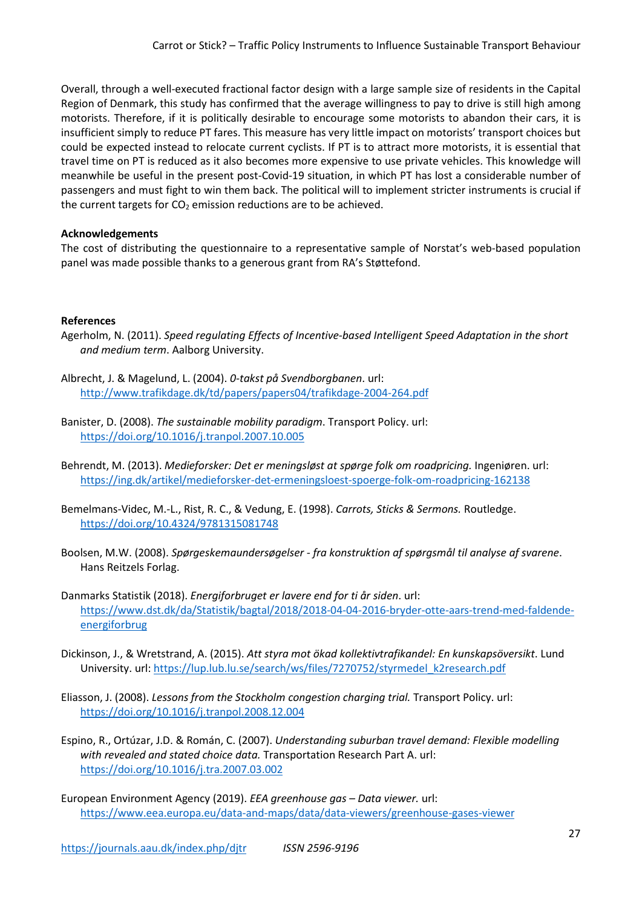Overall, through a well-executed fractional factor design with a large sample size of residents in the Capital Region of Denmark, this study has confirmed that the average willingness to pay to drive is still high among motorists. Therefore, if it is politically desirable to encourage some motorists to abandon their cars, it is insufficient simply to reduce PT fares. This measure has very little impact on motorists' transport choices but could be expected instead to relocate current cyclists. If PT is to attract more motorists, it is essential that travel time on PT is reduced as it also becomes more expensive to use private vehicles. This knowledge will meanwhile be useful in the present post-Covid-19 situation, in which PT has lost a considerable number of passengers and must fight to win them back. The political will to implement stricter instruments is crucial if the current targets for  $CO<sub>2</sub>$  emission reductions are to be achieved.

#### **Acknowledgements**

The cost of distributing the questionnaire to a representative sample of Norstat's web-based population panel was made possible thanks to a generous grant from RA's Støttefond.

#### **References**

- Agerholm, N. (2011). *Speed regulating Effects of Incentive-based Intelligent Speed Adaptation in the short and medium term*. Aalborg University.
- Albrecht, J. & Magelund, L. (2004). *0-takst på Svendborgbanen*. url: <http://www.trafikdage.dk/td/papers/papers04/trafikdage-2004-264.pdf>
- Banister, D. (2008). *The sustainable mobility paradigm*. Transport Policy. url: <https://doi.org/10.1016/j.tranpol.2007.10.005>
- Behrendt, M. (2013). *Medieforsker: Det er meningsløst at spørge folk om roadpricing.* Ingeniøren. url: <https://ing.dk/artikel/medieforsker-det-ermeningsloest-spoerge-folk-om-roadpricing-162138>
- Bemelmans-Videc, M.-L., Rist, R. C., & Vedung, E. (1998). *Carrots, Sticks & Sermons.* Routledge. <https://doi.org/10.4324/9781315081748>
- Boolsen, M.W. (2008). *Spørgeskemaundersøgelser fra konstruktion af spørgsmål til analyse af svarene*. Hans Reitzels Forlag.
- Danmarks Statistik (2018). *Energiforbruget er lavere end for ti år siden*. url: [https://www.dst.dk/da/Statistik/bagtal/2018/2018-04-04-2016-bryder-otte-aars-trend-med-faldende](https://www.dst.dk/da/Statistik/bagtal/2018/2018-04-04-2016-bryder-otte-aars-trend-med-faldende-energiforbrug)[energiforbrug](https://www.dst.dk/da/Statistik/bagtal/2018/2018-04-04-2016-bryder-otte-aars-trend-med-faldende-energiforbrug)
- Dickinson, J., & Wretstrand, A. (2015). *Att styra mot ökad kollektivtrafikandel: En kunskapsöversikt*. Lund University. url: https://lup.lub.lu.se/search/ws/files/7270752/styrmedel\_k2research.pdf
- Eliasson, J. (2008). *Lessons from the Stockholm congestion charging trial.* Transport Policy. url: <https://doi.org/10.1016/j.tranpol.2008.12.004>
- Espino, R., Ortúzar, J.D. & Román, C. (2007). *Understanding suburban travel demand: Flexible modelling with revealed and stated choice data.* Transportation Research Part A. url: <https://doi.org/10.1016/j.tra.2007.03.002>
- European Environment Agency (2019). *EEA greenhouse gas Data viewer.* url: <https://www.eea.europa.eu/data-and-maps/data/data-viewers/greenhouse-gases-viewer>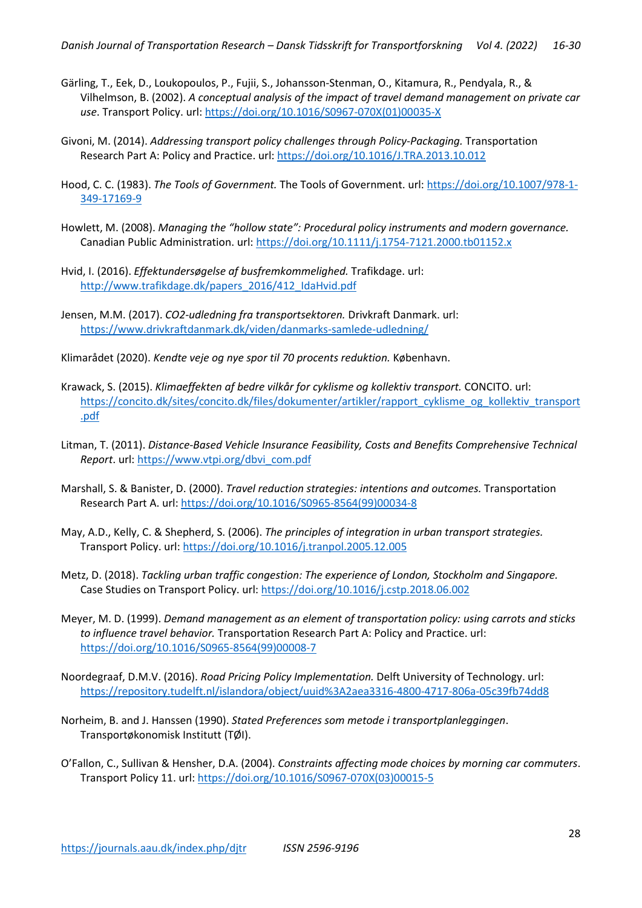- Gärling, T., Eek, D., Loukopoulos, P., Fujii, S., Johansson-Stenman, O., Kitamura, R., Pendyala, R., & Vilhelmson, B. (2002). *A conceptual analysis of the impact of travel demand management on private car use*. Transport Policy. url: [https://doi.org/10.1016/S0967-070X\(01\)00035-X](https://doi.org/10.1016/S0967-070X(01)00035-X)
- Givoni, M. (2014). *Addressing transport policy challenges through Policy-Packaging.* Transportation Research Part A: Policy and Practice. url: <https://doi.org/10.1016/J.TRA.2013.10.012>
- Hood, C. C. (1983). *The Tools of Government.* The Tools of Government. url: [https://doi.org/10.1007/978-1-](https://doi.org/10.1007/978-1-349-17169-9) [349-17169-9](https://doi.org/10.1007/978-1-349-17169-9)
- Howlett, M. (2008). *Managing the "hollow state": Procedural policy instruments and modern governance.* Canadian Public Administration. url: <https://doi.org/10.1111/j.1754-7121.2000.tb01152.x>
- Hvid, I. (2016). *Effektundersøgelse af busfremkommelighed.* Trafikdage. url: [http://www.trafikdage.dk/papers\\_2016/412\\_IdaHvid.pdf](http://www.trafikdage.dk/papers_2016/412_IdaHvid.pdf)
- Jensen, M.M. (2017). *CO2-udledning fra transportsektoren.* Drivkraft Danmark. url: <https://www.drivkraftdanmark.dk/viden/danmarks-samlede-udledning/>
- Klimarådet (2020). *Kendte veje og nye spor til 70 procents reduktion.* København.
- Krawack, S. (2015). *Klimaeffekten af bedre vilkår for cyklisme og kollektiv transport.* CONCITO. url: [https://concito.dk/sites/concito.dk/files/dokumenter/artikler/rapport\\_cyklisme\\_og\\_kollektiv\\_transport](https://concito.dk/sites/concito.dk/files/dokumenter/artikler/rapport_cyklisme_og_kollektiv_transport.pdf) [.pdf](https://concito.dk/sites/concito.dk/files/dokumenter/artikler/rapport_cyklisme_og_kollektiv_transport.pdf)
- Litman, T. (2011). *Distance-Based Vehicle Insurance Feasibility, Costs and Benefits Comprehensive Technical Report*. url: [https://www.vtpi.org/dbvi\\_com.pdf](https://www.vtpi.org/dbvi_com.pdf)
- Marshall, S. & Banister, D. (2000). *Travel reduction strategies: intentions and outcomes.* Transportation Research Part A. url: [https://doi.org/10.1016/S0965-8564\(99\)00034-8](https://doi.org/10.1016/S0965-8564(99)00034-8)
- May, A.D., Kelly, C. & Shepherd, S. (2006). *The principles of integration in urban transport strategies.* Transport Policy. url[: https://doi.org/10.1016/j.tranpol.2005.12.005](https://doi.org/10.1016/j.tranpol.2005.12.005)
- Metz, D. (2018). *Tackling urban traffic congestion: The experience of London, Stockholm and Singapore.* Case Studies on Transport Policy. url:<https://doi.org/10.1016/j.cstp.2018.06.002>
- Meyer, M. D. (1999). *Demand management as an element of transportation policy: using carrots and sticks to influence travel behavior.* Transportation Research Part A: Policy and Practice. url: [https://doi.org/10.1016/S0965-8564\(99\)00008-7](https://doi.org/10.1016/S0965-8564(99)00008-7)
- Noordegraaf, D.M.V. (2016). *Road Pricing Policy Implementation.* Delft University of Technology. url: <https://repository.tudelft.nl/islandora/object/uuid%3A2aea3316-4800-4717-806a-05c39fb74dd8>
- Norheim, B. and J. Hanssen (1990). *Stated Preferences som metode i transportplanleggingen*. Transportøkonomisk Institutt (TØI).
- O'Fallon, C., Sullivan & Hensher, D.A. (2004). *Constraints affecting mode choices by morning car commuters*. Transport Policy 11. url: [https://doi.org/10.1016/S0967-070X\(03\)00015-5](https://doi.org/10.1016/S0967-070X(03)00015-5)